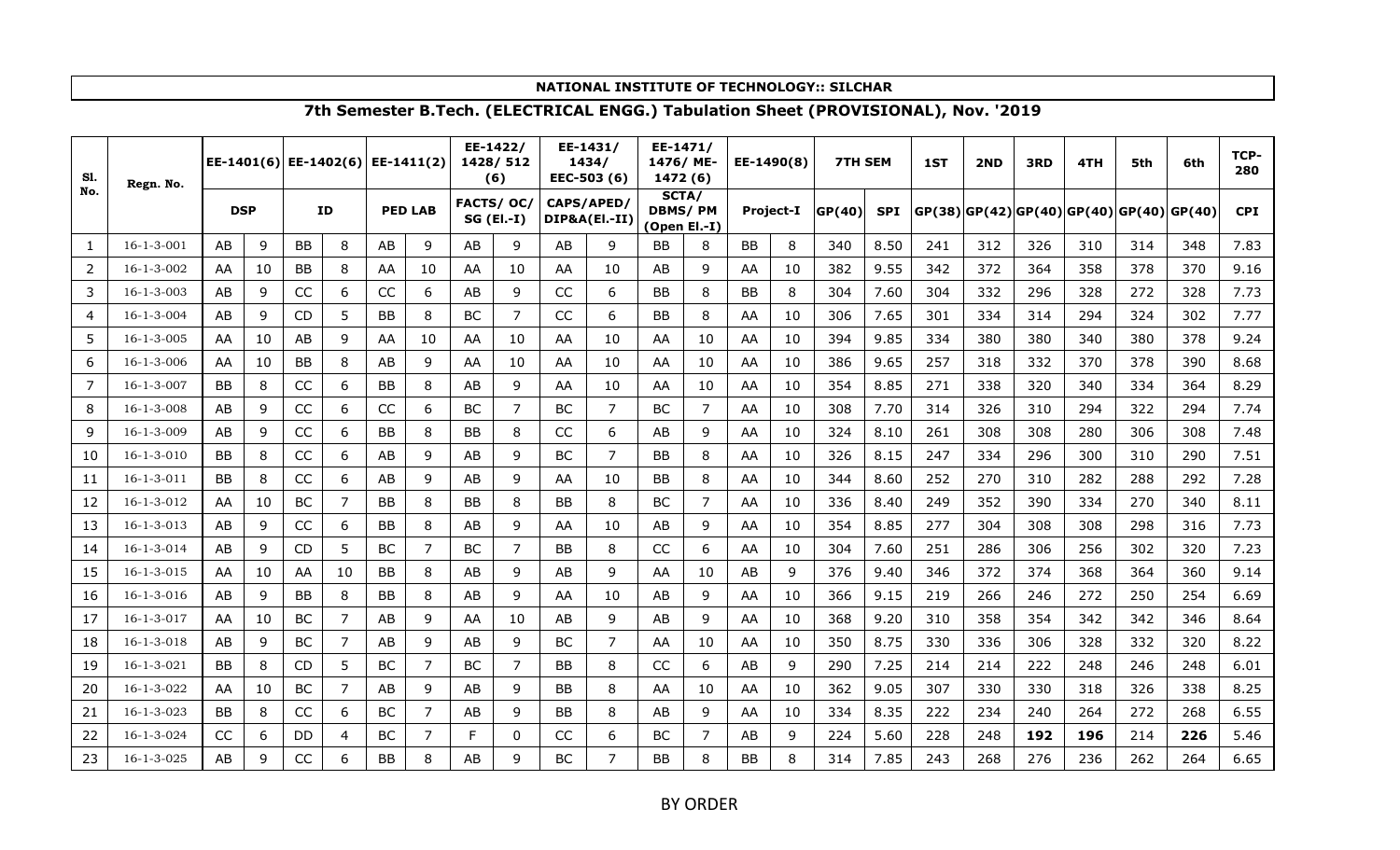| S1. | Regn. No.          | EE-1401(6) |    |           | EE-1402(6) EE-1411(2) |           |                |           | EE-1422/<br>1428/512<br>(6) |            | EE-1431/<br>1434/<br>EEC-503 (6) | EE-1471/<br>1476/ME-<br>1472 (6)        |                |           | EE-1490(8) | <b>7TH SEM</b> |            | 1ST | 2ND | 3RD | 4TH                                           | 5th | 6th | TCP-<br>280 |
|-----|--------------------|------------|----|-----------|-----------------------|-----------|----------------|-----------|-----------------------------|------------|----------------------------------|-----------------------------------------|----------------|-----------|------------|----------------|------------|-----|-----|-----|-----------------------------------------------|-----|-----|-------------|
| No. |                    | <b>DSP</b> |    |           | ID                    |           | <b>PED LAB</b> |           | FACTS/ OC/<br>SG (El.-I)    | CAPS/APED/ | DIP&A(El.-II)                    | SCTA/<br><b>DBMS/PM</b><br>(Open El.-I) |                |           | Project-I  | GP(40)         | <b>SPI</b> |     |     |     | $ GP(38) GP(42) GP(40) GP(40) GP(40) GP(40) $ |     |     | <b>CPI</b>  |
| 1   | $16 - 1 - 3 - 001$ | AB         | 9  | BB        | 8                     | AB        | 9              | AB        | 9                           | AB         | 9                                | BB.                                     | 8              | BB        | 8          | 340            | 8.50       | 241 | 312 | 326 | 310                                           | 314 | 348 | 7.83        |
| 2   | $16 - 1 - 3 - 002$ | AA         | 10 | <b>BB</b> | 8                     | AA        | 10             | AA        | 10                          | AA         | 10                               | AB                                      | 9              | AA        | 10         | 382            | 9.55       | 342 | 372 | 364 | 358                                           | 378 | 370 | 9.16        |
| 3   | $16 - 1 - 3 - 003$ | AB         | 9  | CC        | 6                     | CC        | 6              | AB        | 9                           | CC         | 6                                | <b>BB</b>                               | 8              | <b>BB</b> | 8          | 304            | 7.60       | 304 | 332 | 296 | 328                                           | 272 | 328 | 7.73        |
| 4   | $16 - 1 - 3 - 004$ | AB         | 9  | <b>CD</b> | 5                     | BB        | 8              | BC        | 7                           | CC         | 6                                | BB                                      | 8              | AA        | 10         | 306            | 7.65       | 301 | 334 | 314 | 294                                           | 324 | 302 | 7.77        |
| 5   | $16 - 1 - 3 - 005$ | AA         | 10 | AB        | 9                     | AA        | 10             | AA        | 10                          | AA         | 10                               | AA                                      | 10             | AA        | 10         | 394            | 9.85       | 334 | 380 | 380 | 340                                           | 380 | 378 | 9.24        |
| 6   | $16 - 1 - 3 - 006$ | AA         | 10 | <b>BB</b> | 8                     | AB        | 9              | AA        | 10                          | AA         | 10                               | AA                                      | 10             | AA        | 10         | 386            | 9.65       | 257 | 318 | 332 | 370                                           | 378 | 390 | 8.68        |
| 7   | $16 - 1 - 3 - 007$ | <b>BB</b>  | 8  | CC        | 6                     | <b>BB</b> | 8              | AB        | 9                           | AA         | 10                               | AA                                      | 10             | AA        | 10         | 354            | 8.85       | 271 | 338 | 320 | 340                                           | 334 | 364 | 8.29        |
| 8   | $16 - 1 - 3 - 008$ | AB         | 9  | CC        | 6                     | CC        | 6              | <b>BC</b> | $\overline{7}$              | <b>BC</b>  | $\overline{7}$                   | <b>BC</b>                               | $\overline{7}$ | AA        | 10         | 308            | 7.70       | 314 | 326 | 310 | 294                                           | 322 | 294 | 7.74        |
| 9   | $16 - 1 - 3 - 009$ | AB         | 9  | CC        | 6                     | BB        | 8              | BB        | 8                           | CC         | 6                                | AB                                      | 9              | AA        | 10         | 324            | 8.10       | 261 | 308 | 308 | 280                                           | 306 | 308 | 7.48        |
| 10  | $16 - 1 - 3 - 010$ | <b>BB</b>  | 8  | CC        | 6                     | AB        | 9              | AB        | 9                           | <b>BC</b>  | $\overline{7}$                   | <b>BB</b>                               | 8              | AA        | 10         | 326            | 8.15       | 247 | 334 | 296 | 300                                           | 310 | 290 | 7.51        |
| 11  | $16 - 1 - 3 - 011$ | <b>BB</b>  | 8  | CC        | 6                     | AB        | 9              | AB        | 9                           | AA         | 10                               | BB                                      | 8              | AA        | 10         | 344            | 8.60       | 252 | 270 | 310 | 282                                           | 288 | 292 | 7.28        |
| 12  | 16-1-3-012         | AA         | 10 | <b>BC</b> | $\overline{7}$        | BB        | 8              | BB        | 8                           | <b>BB</b>  | 8                                | <b>BC</b>                               | $\overline{7}$ | AA        | 10         | 336            | 8.40       | 249 | 352 | 390 | 334                                           | 270 | 340 | 8.11        |
| 13  | $16 - 1 - 3 - 013$ | AB         | 9  | CC        | 6                     | BB        | 8              | AB        | 9                           | AA         | 10                               | AB                                      | 9              | AA        | 10         | 354            | 8.85       | 277 | 304 | 308 | 308                                           | 298 | 316 | 7.73        |
| 14  | $16 - 1 - 3 - 014$ | AB         | 9  | <b>CD</b> | 5                     | BC        | 7              | BC        | 7                           | <b>BB</b>  | 8                                | CC                                      | 6              | AA        | 10         | 304            | 7.60       | 251 | 286 | 306 | 256                                           | 302 | 320 | 7.23        |
| 15  | $16 - 1 - 3 - 015$ | AA         | 10 | AA        | 10                    | BB        | 8              | AB        | 9                           | AB         | 9                                | AA                                      | 10             | AB        | 9          | 376            | 9.40       | 346 | 372 | 374 | 368                                           | 364 | 360 | 9.14        |
| 16  | $16 - 1 - 3 - 016$ | AB         | 9  | <b>BB</b> | 8                     | BB        | 8              | AB        | 9                           | AA         | 10                               | AB                                      | 9              | AA        | 10         | 366            | 9.15       | 219 | 266 | 246 | 272                                           | 250 | 254 | 6.69        |
| 17  | $16 - 1 - 3 - 017$ | AA         | 10 | BC        | $\overline{7}$        | AB        | 9              | AA        | 10                          | AB.        | 9                                | AB                                      | 9              | AA        | 10         | 368            | 9.20       | 310 | 358 | 354 | 342                                           | 342 | 346 | 8.64        |
| 18  | $16 - 1 - 3 - 018$ | AB         | 9  | BC        | $\overline{7}$        | AB        | 9              | AB        | 9                           | BC         | 7                                | AA                                      | 10             | AA        | 10         | 350            | 8.75       | 330 | 336 | 306 | 328                                           | 332 | 320 | 8.22        |
| 19  | $16 - 1 - 3 - 021$ | <b>BB</b>  | 8  | <b>CD</b> | 5                     | BC        | 7              | BС        | 7                           | <b>BB</b>  | 8                                | CC                                      | 6              | AB        | 9          | 290            | 7.25       | 214 | 214 | 222 | 248                                           | 246 | 248 | 6.01        |
| 20  | 16-1-3-022         | AA         | 10 | BC        | 7                     | AB        | 9              | AB        | 9                           | <b>BB</b>  | 8                                | AA                                      | 10             | AA        | 10         | 362            | 9.05       | 307 | 330 | 330 | 318                                           | 326 | 338 | 8.25        |
| 21  | 16-1-3-023         | <b>BB</b>  | 8  | CC        | 6                     | BC        | $\overline{7}$ | AB        | 9                           | <b>BB</b>  | 8                                | AB                                      | 9              | AA        | 10         | 334            | 8.35       | 222 | 234 | 240 | 264                                           | 272 | 268 | 6.55        |
| 22  | $16 - 1 - 3 - 024$ | CC         | 6  | DD        | 4                     | BC        | 7              | F         | 0                           | CC         | 6                                | <b>BC</b>                               | 7              | AB        | 9          | 224            | 5.60       | 228 | 248 | 192 | 196                                           | 214 | 226 | 5.46        |
| 23  | $16 - 1 - 3 - 025$ | AB         | 9  | CC        | 6                     | ΒB        | 8              | AB        | q                           | BC         |                                  | BB                                      | 8              | ΒB        | 8          | 314            | 7.85       | 243 | 268 | 276 | 236                                           | 262 | 264 | 6.65        |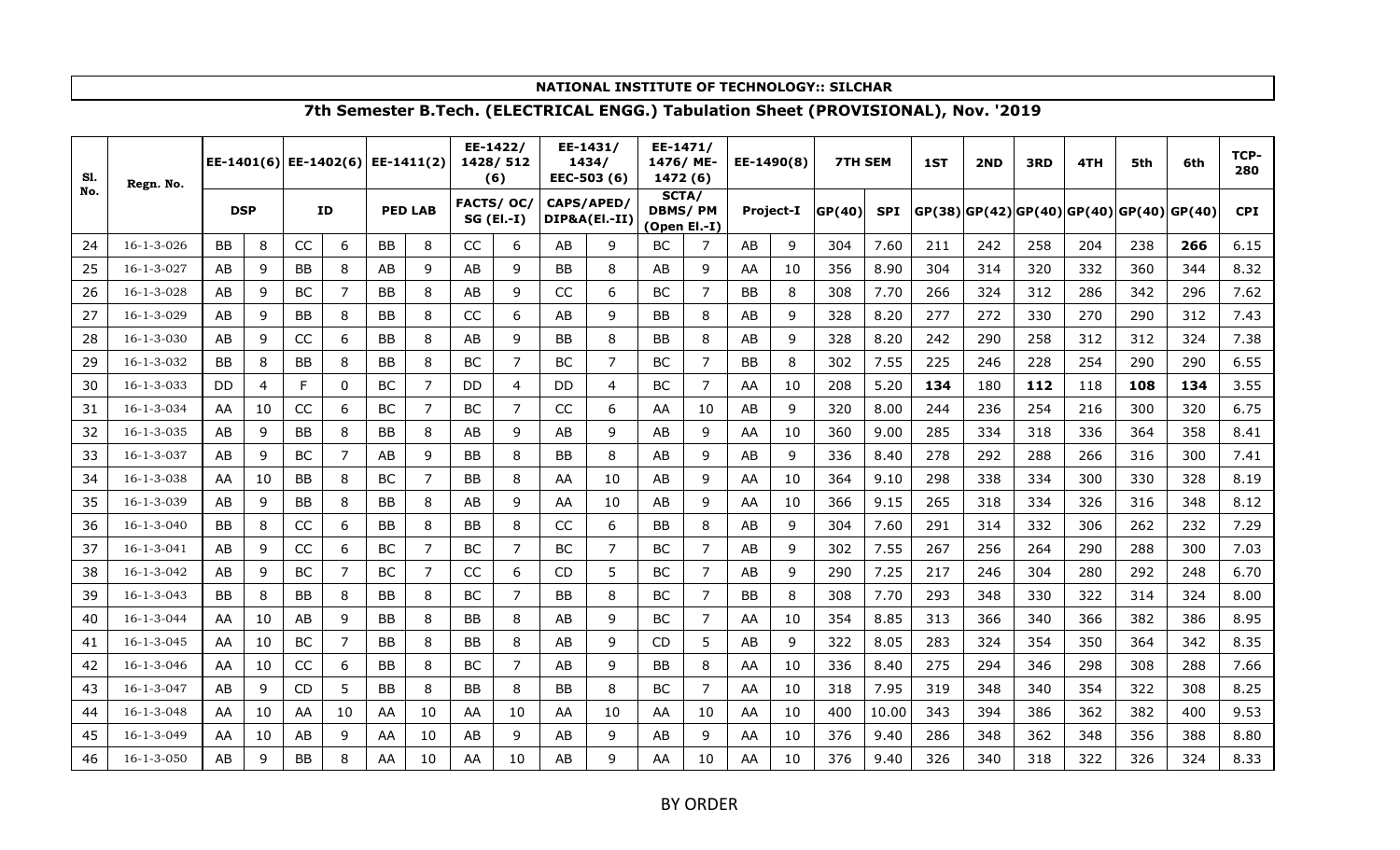| S1. | Regn. No.          |            |    |           | EE-1401(6) EE-1402(6) EE-1411(2) |           |                |            | EE-1422/<br>1428/512<br>(6) |            | EE-1431/<br>1434/<br>EEC-503 (6) | EE-1471/<br>1476/ME-<br>1472 (6)        |                | EE-1490(8) |           | <b>7TH SEM</b> |            | 1ST | 2ND | 3RD | 4TH                                          | 5th | 6th | TCP-<br>280 |
|-----|--------------------|------------|----|-----------|----------------------------------|-----------|----------------|------------|-----------------------------|------------|----------------------------------|-----------------------------------------|----------------|------------|-----------|----------------|------------|-----|-----|-----|----------------------------------------------|-----|-----|-------------|
| No. |                    | <b>DSP</b> |    |           | ID                               |           | <b>PED LAB</b> | FACTS/ OC/ | $SG$ (El.-I)                | CAPS/APED/ | DIP&A(EI .- II)                  | SCTA/<br><b>DBMS/PM</b><br>(Open El.-I) |                |            | Project-I | GP(40)         | <b>SPI</b> |     |     |     | $GP(38)$  GP(42) GP(40) GP(40) GP(40) GP(40) |     |     | <b>CPI</b>  |
| 24  | $16 - 1 - 3 - 026$ | ВB         | 8  | CC        | 6                                | BB        | 8              | CC         | 6                           | AB         | 9                                | <b>BC</b>                               | 7              | AB         | 9         | 304            | 7.60       | 211 | 242 | 258 | 204                                          | 238 | 266 | 6.15        |
| 25  | $16 - 1 - 3 - 027$ | AB         | 9  | <b>BB</b> | 8                                | AB        | 9              | AB         | q                           | <b>BB</b>  | 8                                | AB                                      | 9              | AA         | 10        | 356            | 8.90       | 304 | 314 | 320 | 332                                          | 360 | 344 | 8.32        |
| 26  | $16 - 1 - 3 - 028$ | AB         | 9  | BC        | 7                                | <b>BB</b> | 8              | AB         | 9                           | CC         | 6                                | <b>BC</b>                               | 7              | <b>BB</b>  | 8         | 308            | 7.70       | 266 | 324 | 312 | 286                                          | 342 | 296 | 7.62        |
| 27  | $16 - 1 - 3 - 029$ | AB         | 9  | <b>BB</b> | 8                                | <b>BB</b> | 8              | CC         | 6                           | AB         | 9                                | BB                                      | 8              | AB         | 9         | 328            | 8.20       | 277 | 272 | 330 | 270                                          | 290 | 312 | 7.43        |
| 28  | $16 - 1 - 3 - 030$ | AB         | 9  | CC        | 6                                | BB        | 8              | AB         | 9                           | BB         | 8                                | <b>BB</b>                               | 8              | AB         | 9         | 328            | 8.20       | 242 | 290 | 258 | 312                                          | 312 | 324 | 7.38        |
| 29  | 16-1-3-032         | <b>BB</b>  | 8  | <b>BB</b> | 8                                | <b>BB</b> | 8              | <b>BC</b>  | 7                           | <b>BC</b>  | 7                                | <b>BC</b>                               | $\overline{7}$ | <b>BB</b>  | 8         | 302            | 7.55       | 225 | 246 | 228 | 254                                          | 290 | 290 | 6.55        |
| 30  | $16 - 1 - 3 - 033$ | <b>DD</b>  | 4  | F         | 0                                | BC        | 7              | DD         | 4                           | DD.        | 4                                | <b>BC</b>                               | 7              | AA         | 10        | 208            | 5.20       | 134 | 180 | 112 | 118                                          | 108 | 134 | 3.55        |
| 31  | 16-1-3-034         | AA         | 10 | CC        | 6                                | BC        | 7              | BC         | 7                           | CC         | 6                                | AA                                      | 10             | AB         | 9         | 320            | 8.00       | 244 | 236 | 254 | 216                                          | 300 | 320 | 6.75        |
| 32  | $16 - 1 - 3 - 035$ | AB         | 9  | BB        | 8                                | ВB        | 8              | AB         | 9                           | AB         | 9                                | AB                                      | 9              | AA         | 10        | 360            | 9.00       | 285 | 334 | 318 | 336                                          | 364 | 358 | 8.41        |
| 33  | 16-1-3-037         | AB         | 9  | BC        | $\overline{7}$                   | AB        | 9              | <b>BB</b>  | 8                           | BB         | 8                                | AB                                      | 9              | AB         | 9         | 336            | 8.40       | 278 | 292 | 288 | 266                                          | 316 | 300 | 7.41        |
| 34  | $16 - 1 - 3 - 038$ | AA         | 10 | <b>BB</b> | 8                                | BC        | 7              | <b>BB</b>  | 8                           | AA         | 10                               | AB                                      | 9              | AA         | 10        | 364            | 9.10       | 298 | 338 | 334 | 300                                          | 330 | 328 | 8.19        |
| 35  | $16 - 1 - 3 - 039$ | AB         | 9  | <b>BB</b> | 8                                | <b>BB</b> | 8              | AB         | 9                           | AA         | 10                               | AB                                      | 9              | AA         | 10        | 366            | 9.15       | 265 | 318 | 334 | 326                                          | 316 | 348 | 8.12        |
| 36  | $16 - 1 - 3 - 040$ | <b>BB</b>  | 8  | CC        | 6                                | BB        | 8              | BB         | 8                           | CC         | 6                                | BB                                      | 8              | AB         | 9         | 304            | 7.60       | 291 | 314 | 332 | 306                                          | 262 | 232 | 7.29        |
| 37  | $16 - 1 - 3 - 041$ | AB         | 9  | CC        | 6                                | ВC        | $\overline{7}$ | BC         | 7                           | BC         | 7                                | <b>BC</b>                               | $\overline{7}$ | AB         | 9         | 302            | 7.55       | 267 | 256 | 264 | 290                                          | 288 | 300 | 7.03        |
| 38  | $16 - 1 - 3 - 042$ | AB         | 9  | BC        | 7                                | ВC        | 7              | CC         | 6                           | <b>CD</b>  | 5                                | <b>BC</b>                               | 7              | AB         | 9         | 290            | 7.25       | 217 | 246 | 304 | 280                                          | 292 | 248 | 6.70        |
| 39  | $16 - 1 - 3 - 043$ | <b>BB</b>  | 8  | <b>BB</b> | 8                                | BB        | 8              | BC         | 7                           | BB         | 8                                | <b>BC</b>                               | 7              | BB         | 8         | 308            | 7.70       | 293 | 348 | 330 | 322                                          | 314 | 324 | 8.00        |
| 40  | $16 - 1 - 3 - 044$ | AA         | 10 | AB        | 9                                | ΒB        | 8              | BB         | 8                           | AB         | 9                                | <b>BC</b>                               | 7              | AA         | 10        | 354            | 8.85       | 313 | 366 | 340 | 366                                          | 382 | 386 | 8.95        |
| 41  | $16 - 1 - 3 - 045$ | AA         | 10 | BC        | $\overline{7}$                   | <b>BB</b> | 8              | BB         | 8                           | AB         | 9                                | <b>CD</b>                               | 5              | AB         | 9         | 322            | 8.05       | 283 | 324 | 354 | 350                                          | 364 | 342 | 8.35        |
| 42  | $16 - 1 - 3 - 046$ | AA         | 10 | CC        | 6                                | BΒ        | 8              | <b>BC</b>  | 7                           | AB         | 9                                | <b>BB</b>                               | 8              | AA         | 10        | 336            | 8.40       | 275 | 294 | 346 | 298                                          | 308 | 288 | 7.66        |
| 43  | $16 - 1 - 3 - 047$ | AB         | 9  | <b>CD</b> | 5                                | BB        | 8              | <b>BB</b>  | 8                           | <b>BB</b>  | 8                                | <b>BC</b>                               | 7              | AA         | 10        | 318            | 7.95       | 319 | 348 | 340 | 354                                          | 322 | 308 | 8.25        |
| 44  | $16 - 1 - 3 - 048$ | AA         | 10 | AA        | 10                               | AA        | 10             | AA         | 10                          | AA         | 10                               | AA                                      | 10             | AA         | 10        | 400            | 10.00      | 343 | 394 | 386 | 362                                          | 382 | 400 | 9.53        |
| 45  | 16-1-3-049         | AA         | 10 | AB        | 9                                | AA        | 10             | AB         | 9                           | AB         | 9                                | AB                                      | 9              | AA         | 10        | 376            | 9.40       | 286 | 348 | 362 | 348                                          | 356 | 388 | 8.80        |
| 46  | 16-1-3-050         | AB         | 9  | BB        | 8                                | AA        | 10             | AA         | 10                          | AB         | a                                | AA                                      | 10             | AA         | 10        | 376            | 9.40       | 326 | 340 | 318 | 322                                          | 326 | 324 | 8.33        |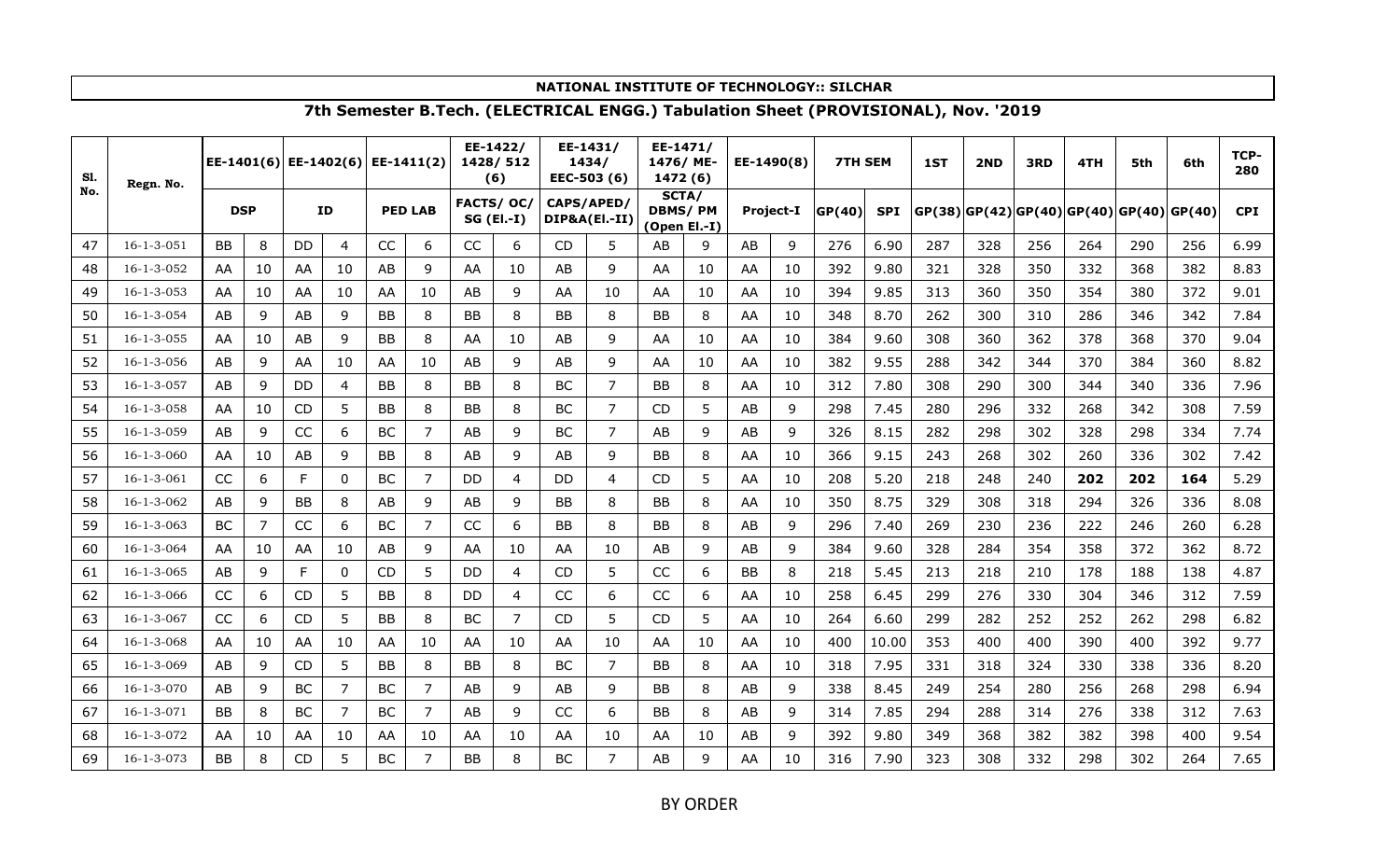| S1. | Regn. No.          |            |                |           | $ EE-1401(6) EE-1402(6) $ |           | EE-1411(2)     |           | EE-1422/<br>1428/512<br>(6) |            | EE-1431/<br>1434/<br>EEC-503 (6) | EE-1471/<br>1476/ME-<br>1472 (6)        |    | EE-1490(8) |           | <b>7TH SEM</b> |            | 1ST | 2ND | 3RD | 4TH                                          | 5th | 6th | TCP-<br>280 |
|-----|--------------------|------------|----------------|-----------|---------------------------|-----------|----------------|-----------|-----------------------------|------------|----------------------------------|-----------------------------------------|----|------------|-----------|----------------|------------|-----|-----|-----|----------------------------------------------|-----|-----|-------------|
| No. |                    | <b>DSP</b> |                |           | ID                        |           | <b>PED LAB</b> | FACTS/OC/ | $SG$ (El.-I)                | CAPS/APED/ | DIP&A(EI .- II)                  | SCTA/<br><b>DBMS/PM</b><br>(Open El.-I) |    |            | Project-I | GP(40)         | <b>SPI</b> |     |     |     | $GP(38)$  GP(42) GP(40) GP(40) GP(40) GP(40) |     |     | <b>CPI</b>  |
| 47  | $16 - 1 - 3 - 051$ | <b>BB</b>  | 8              | DD        | 4                         | CC        | 6              | CC        | 6                           | CD.        | 5                                | AB                                      | 9  | AB         | 9         | 276            | 6.90       | 287 | 328 | 256 | 264                                          | 290 | 256 | 6.99        |
| 48  | 16-1-3-052         | AA         | 10             | AA        | 10                        | AB        | 9              | AA        | 10                          | AB         | 9                                | AA                                      | 10 | AA         | 10        | 392            | 9.80       | 321 | 328 | 350 | 332                                          | 368 | 382 | 8.83        |
| 49  | $16 - 1 - 3 - 053$ | AA         | 10             | AA        | 10                        | AA        | 10             | AB        | 9                           | AA         | 10                               | AA                                      | 10 | AA         | 10        | 394            | 9.85       | 313 | 360 | 350 | 354                                          | 380 | 372 | 9.01        |
| 50  | $16 - 1 - 3 - 054$ | AB         | 9              | AB        | 9                         | <b>BB</b> | 8              | <b>BB</b> | 8                           | <b>BB</b>  | 8                                | <b>BB</b>                               | 8  | AA         | 10        | 348            | 8.70       | 262 | 300 | 310 | 286                                          | 346 | 342 | 7.84        |
| 51  | $16 - 1 - 3 - 055$ | AA         | 10             | AB        | 9                         | <b>BB</b> | 8              | AA        | 10                          | AB         | 9                                | AA                                      | 10 | AA         | 10        | 384            | 9.60       | 308 | 360 | 362 | 378                                          | 368 | 370 | 9.04        |
| 52  | $16 - 1 - 3 - 056$ | AB         | 9              | AA        | 10                        | AA        | 10             | AB        | 9                           | AB         | 9                                | AA                                      | 10 | AA         | 10        | 382            | 9.55       | 288 | 342 | 344 | 370                                          | 384 | 360 | 8.82        |
| 53  | $16 - 1 - 3 - 057$ | AB         | 9              | <b>DD</b> | 4                         | <b>BB</b> | 8              | <b>BB</b> | 8                           | BC         | 7                                | <b>BB</b>                               | 8  | AA         | 10        | 312            | 7.80       | 308 | 290 | 300 | 344                                          | 340 | 336 | 7.96        |
| 54  | $16 - 1 - 3 - 058$ | AA         | 10             | CD        | 5                         | <b>BB</b> | 8              | BB        | 8                           | BC         | 7                                | CD                                      | 5  | AB         | 9         | 298            | 7.45       | 280 | 296 | 332 | 268                                          | 342 | 308 | 7.59        |
| 55  | $16 - 1 - 3 - 059$ | AB         | 9              | CC        | 6                         | <b>BC</b> | 7              | AB        | 9                           | <b>BC</b>  | 7                                | AB                                      | 9  | AB         | 9         | 326            | 8.15       | 282 | 298 | 302 | 328                                          | 298 | 334 | 7.74        |
| 56  | $16 - 1 - 3 - 060$ | AA         | 10             | AB        | 9                         | <b>BB</b> | 8              | AB        | 9                           | AB         | 9                                | <b>BB</b>                               | 8  | AA         | 10        | 366            | 9.15       | 243 | 268 | 302 | 260                                          | 336 | 302 | 7.42        |
| 57  | $16 - 1 - 3 - 061$ | CC         | 6              | F         | 0                         | <b>BC</b> | $\overline{7}$ | DD        | 4                           | DD         | 4                                | <b>CD</b>                               | 5  | AA         | 10        | 208            | 5.20       | 218 | 248 | 240 | 202                                          | 202 | 164 | 5.29        |
| 58  | 16-1-3-062         | AB         | 9              | <b>BB</b> | 8                         | AB        | 9              | AB        | 9                           | <b>BB</b>  | 8                                | BB                                      | 8  | AA         | 10        | 350            | 8.75       | 329 | 308 | 318 | 294                                          | 326 | 336 | 8.08        |
| 59  | $16 - 1 - 3 - 063$ | <b>BC</b>  | $\overline{7}$ | CC        | 6                         | <b>BC</b> | $\overline{7}$ | CC        | 6                           | <b>BB</b>  | 8                                | BB                                      | 8  | AB         | 9         | 296            | 7.40       | 269 | 230 | 236 | 222                                          | 246 | 260 | 6.28        |
| 60  | $16 - 1 - 3 - 064$ | AA         | 10             | AA        | 10                        | AB        | 9              | AA        | 10                          | AA         | 10                               | AB                                      | 9  | AB         | 9         | 384            | 9.60       | 328 | 284 | 354 | 358                                          | 372 | 362 | 8.72        |
| 61  | $16 - 1 - 3 - 065$ | AB         | 9              | F         | 0                         | <b>CD</b> | 5              | DD        | 4                           | CD         | 5                                | CC                                      | 6  | <b>BB</b>  | 8         | 218            | 5.45       | 213 | 218 | 210 | 178                                          | 188 | 138 | 4.87        |
| 62  | 16-1-3-066         | CC         | 6              | CD        | 5                         | <b>BB</b> | 8              | DD        | 4                           | CC         | 6                                | CC                                      | 6  | AA         | 10        | 258            | 6.45       | 299 | 276 | 330 | 304                                          | 346 | 312 | 7.59        |
| 63  | $16 - 1 - 3 - 067$ | CC         | 6              | <b>CD</b> | 5                         | <b>BB</b> | 8              | BC        | 7                           | <b>CD</b>  | 5                                | C <sub>D</sub>                          | 5  | AA         | 10        | 264            | 6.60       | 299 | 282 | 252 | 252                                          | 262 | 298 | 6.82        |
| 64  | 16-1-3-068         | AA         | 10             | AA        | 10                        | AA        | 10             | AA        | 10                          | AA         | 10                               | AA                                      | 10 | AA         | 10        | 400            | 10.00      | 353 | 400 | 400 | 390                                          | 400 | 392 | 9.77        |
| 65  | $16 - 1 - 3 - 069$ | AB         | 9              | CD        | 5                         | <b>BB</b> | 8              | <b>BB</b> | 8                           | BC         | 7                                | BB                                      | 8  | AA         | 10        | 318            | 7.95       | 331 | 318 | 324 | 330                                          | 338 | 336 | 8.20        |
| 66  | $16 - 1 - 3 - 070$ | AB         | 9              | BC        | 7                         | BC        | 7              | AB        | 9                           | AB         | 9                                | BB                                      | 8  | AB         | 9         | 338            | 8.45       | 249 | 254 | 280 | 256                                          | 268 | 298 | 6.94        |
| 67  | $16 - 1 - 3 - 071$ | <b>BB</b>  | 8              | BC        | $\overline{7}$            | BC        | $\overline{7}$ | AB        | 9                           | CC         | 6                                | <b>BB</b>                               | 8  | AB         | 9         | 314            | 7.85       | 294 | 288 | 314 | 276                                          | 338 | 312 | 7.63        |
| 68  | 16-1-3-072         | AA         | 10             | AA        | 10                        | AA        | 10             | AA        | 10                          | AA         | 10                               | AA                                      | 10 | AB         | 9         | 392            | 9.80       | 349 | 368 | 382 | 382                                          | 398 | 400 | 9.54        |
| 69  | $16 - 1 - 3 - 073$ | <b>BB</b>  | 8              | <b>CD</b> | 5                         | BC        | 7              | <b>BB</b> | 8                           | BC         | 7                                | AB                                      | 9  | AA         | 10        | 316            | 7.90       | 323 | 308 | 332 | 298                                          | 302 | 264 | 7.65        |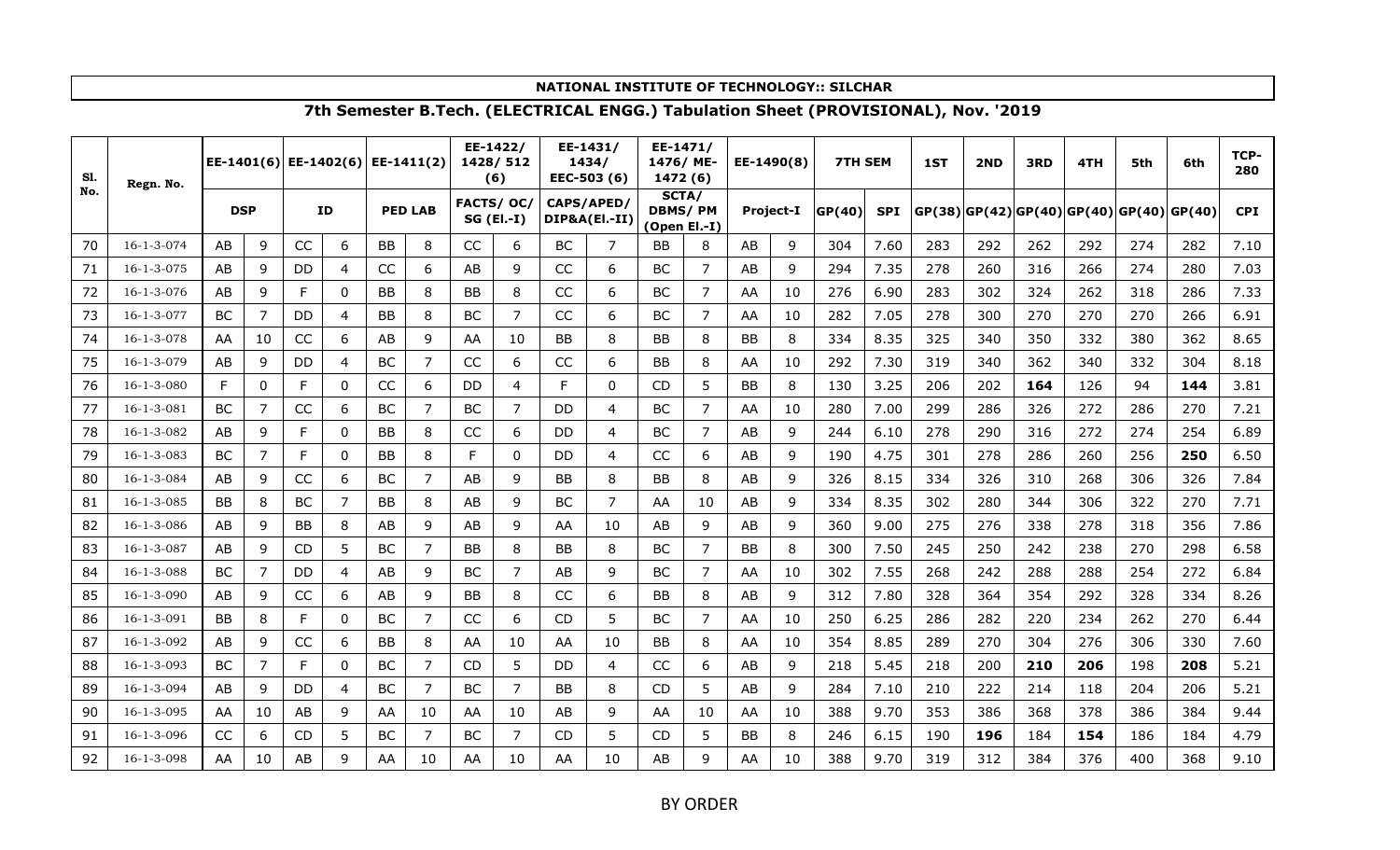| S1. | Regn. No.          |            |                | EE-1401(6) EE-1402(6) EE-1411(2) |                |           |                |            | EE-1422/<br>1428/512<br>(6) |           | EE-1431/<br>1434/<br>EEC-503 (6) | EE-1471/<br>1476/ME-<br>1472 (6)        |                | EE-1490(8) |                  | <b>7TH SEM</b> |            | 1ST | 2ND | 3RD | 4TH                                          | 5th | 6th | TCP-<br>280 |
|-----|--------------------|------------|----------------|----------------------------------|----------------|-----------|----------------|------------|-----------------------------|-----------|----------------------------------|-----------------------------------------|----------------|------------|------------------|----------------|------------|-----|-----|-----|----------------------------------------------|-----|-----|-------------|
| No. |                    | <b>DSP</b> |                |                                  | <b>ID</b>      |           | <b>PED LAB</b> | FACTS/ OC/ | $SG$ (El.-I)                |           | CAPS/APED/<br>DIP&A(EI .- II)    | SCTA/<br><b>DBMS/PM</b><br>(Open El.-I) |                |            | <b>Project-I</b> | GP(40)         | <b>SPI</b> |     |     |     | $GP(38)$  GP(42) GP(40) GP(40) GP(40) GP(40) |     |     | <b>CPI</b>  |
| 70  | 16-1-3-074         | AB         | 9              | CC                               | 6              | BB        | 8              | CC         | 6                           | BC        | 7                                | <b>BB</b>                               | 8              | AB         | 9                | 304            | 7.60       | 283 | 292 | 262 | 292                                          | 274 | 282 | 7.10        |
| 71  | $16 - 1 - 3 - 075$ | AB         | 9              | DD                               | $\overline{4}$ | CC        | 6              | AB         | 9                           | CC        | 6                                | <b>BC</b>                               | 7              | AB         | 9                | 294            | 7.35       | 278 | 260 | 316 | 266                                          | 274 | 280 | 7.03        |
| 72  | 16-1-3-076         | AB         | 9              | F                                | 0              | <b>BB</b> | 8              | BB         | 8                           | CC        | 6                                | <b>BC</b>                               | 7              | AA         | 10               | 276            | 6.90       | 283 | 302 | 324 | 262                                          | 318 | 286 | 7.33        |
| 73  | $16 - 1 - 3 - 077$ | <b>BC</b>  | 7              | <b>DD</b>                        | $\overline{4}$ | <b>BB</b> | 8              | <b>BC</b>  | 7                           | CC        | 6                                | <b>BC</b>                               | $\overline{7}$ | AA         | 10               | 282            | 7.05       | 278 | 300 | 270 | 270                                          | 270 | 266 | 6.91        |
| 74  | $16 - 1 - 3 - 078$ | AA         | 10             | CC                               | 6              | AB        | 9              | AA         | 10                          | <b>BB</b> | 8                                | BB                                      | 8              | BB         | 8                | 334            | 8.35       | 325 | 340 | 350 | 332                                          | 380 | 362 | 8.65        |
| 75  | $16 - 1 - 3 - 079$ | AB         | 9              | DD                               | 4              | BC        | $\overline{7}$ | CC         | 6                           | CC        | 6                                | BB                                      | 8              | AA         | 10               | 292            | 7.30       | 319 | 340 | 362 | 340                                          | 332 | 304 | 8.18        |
| 76  | 16-1-3-080         | F          | 0              | F                                | 0              | CC        | 6              | DD         | 4                           | F         | 0                                | CD                                      | 5              | <b>BB</b>  | 8                | 130            | 3.25       | 206 | 202 | 164 | 126                                          | 94  | 144 | 3.81        |
| 77  | $16 - 1 - 3 - 081$ | <b>BC</b>  | 7              | CC                               | 6              | BC        | 7              | BC         | 7                           | DD        | 4                                | BC                                      | 7              | AA         | 10               | 280            | 7.00       | 299 | 286 | 326 | 272                                          | 286 | 270 | 7.21        |
| 78  | 16-1-3-082         | AB         | 9              | F                                | 0              | BB        | 8              | CC         | 6                           | DD        | 4                                | <b>BC</b>                               | 7              | AB         | 9                | 244            | 6.10       | 278 | 290 | 316 | 272                                          | 274 | 254 | 6.89        |
| 79  | $16 - 1 - 3 - 083$ | <b>BC</b>  | $\overline{7}$ | F                                | 0              | <b>BB</b> | 8              | F          | 0                           | DD        | $\overline{4}$                   | CC                                      | 6              | AB         | 9                | 190            | 4.75       | 301 | 278 | 286 | 260                                          | 256 | 250 | 6.50        |
| 80  | 16-1-3-084         | AB         | 9              | CC                               | 6              | BC        | 7              | AB         | 9                           | BB        | 8                                | BB                                      | 8              | AB         | 9                | 326            | 8.15       | 334 | 326 | 310 | 268                                          | 306 | 326 | 7.84        |
| 81  | $16 - 1 - 3 - 085$ | <b>BB</b>  | 8              | <b>BC</b>                        | $\overline{7}$ | BB        | 8              | AB         | 9                           | BC        | 7                                | AA                                      | 10             | AB         | 9                | 334            | 8.35       | 302 | 280 | 344 | 306                                          | 322 | 270 | 7.71        |
| 82  | $16 - 1 - 3 - 086$ | AB         | 9              | <b>BB</b>                        | 8              | AB        | 9              | AB         | 9                           | AA        | 10                               | AB                                      | 9              | AB         | 9                | 360            | 9.00       | 275 | 276 | 338 | 278                                          | 318 | 356 | 7.86        |
| 83  | 16-1-3-087         | AB         | 9              | <b>CD</b>                        | 5              | BC        | 7              | BB         | 8                           | <b>BB</b> | 8                                | <b>BC</b>                               | 7              | BB         | 8                | 300            | 7.50       | 245 | 250 | 242 | 238                                          | 270 | 298 | 6.58        |
| 84  | 16-1-3-088         | BC         | 7              | DD                               | 4              | AB        | 9              | BC         |                             | AB        | 9                                | <b>BC</b>                               | 7              | AA         | 10               | 302            | 7.55       | 268 | 242 | 288 | 288                                          | 254 | 272 | 6.84        |
| 85  | $16 - 1 - 3 - 090$ | AB         | 9              | CC                               | 6              | AB        | 9              | BB         | 8                           | CC        | 6                                | BB                                      | 8              | AB         | 9                | 312            | 7.80       | 328 | 364 | 354 | 292                                          | 328 | 334 | 8.26        |
| 86  | $16 - 1 - 3 - 091$ | <b>BB</b>  | 8              | F                                | $\mathbf{0}$   | ВC        | 7              | CC         | 6                           | <b>CD</b> | 5                                | <b>BC</b>                               | 7              | AA         | 10               | 250            | 6.25       | 286 | 282 | 220 | 234                                          | 262 | 270 | 6.44        |
| 87  | 16-1-3-092         | AB         | 9              | CC                               | 6              | <b>BB</b> | 8              | AA         | 10                          | AA        | 10                               | <b>BB</b>                               | 8              | AA         | 10               | 354            | 8.85       | 289 | 270 | 304 | 276                                          | 306 | 330 | 7.60        |
| 88  | $16 - 1 - 3 - 093$ | BC         | 7              | F                                | $\mathbf{0}$   | BC        | 7              | <b>CD</b>  | 5                           | <b>DD</b> | 4                                | CC                                      | 6              | AB         | 9                | 218            | 5.45       | 218 | 200 | 210 | 206                                          | 198 | 208 | 5.21        |
| 89  | $16 - 1 - 3 - 094$ | AB         | 9              | DD                               | 4              | BС        | 7              | <b>BC</b>  | 7                           | <b>BB</b> | 8                                | CD.                                     | 5              | AB         | 9                | 284            | 7.10       | 210 | 222 | 214 | 118                                          | 204 | 206 | 5.21        |
| 90  | $16 - 1 - 3 - 095$ | AA         | 10             | AB                               | 9              | AA        | 10             | AA         | 10                          | AB        | 9                                | AA                                      | 10             | AA         | 10               | 388            | 9.70       | 353 | 386 | 368 | 378                                          | 386 | 384 | 9.44        |
| 91  | $16 - 1 - 3 - 096$ | CC         | 6              | <b>CD</b>                        | 5              | BC        | 7              | <b>BC</b>  | 7                           | CD        | 5                                | CD                                      | 5              | BB         | 8                | 246            | 6.15       | 190 | 196 | 184 | 154                                          | 186 | 184 | 4.79        |
| 92  | $16 - 1 - 3 - 098$ | AA         | 10             | AB                               | 9              | AA        | 10             | AA         | 10                          | AA        | 10                               | AB                                      | 9              | AA         | 10               | 388            | 9.70       | 319 | 312 | 384 | 376                                          | 400 | 368 | 9.10        |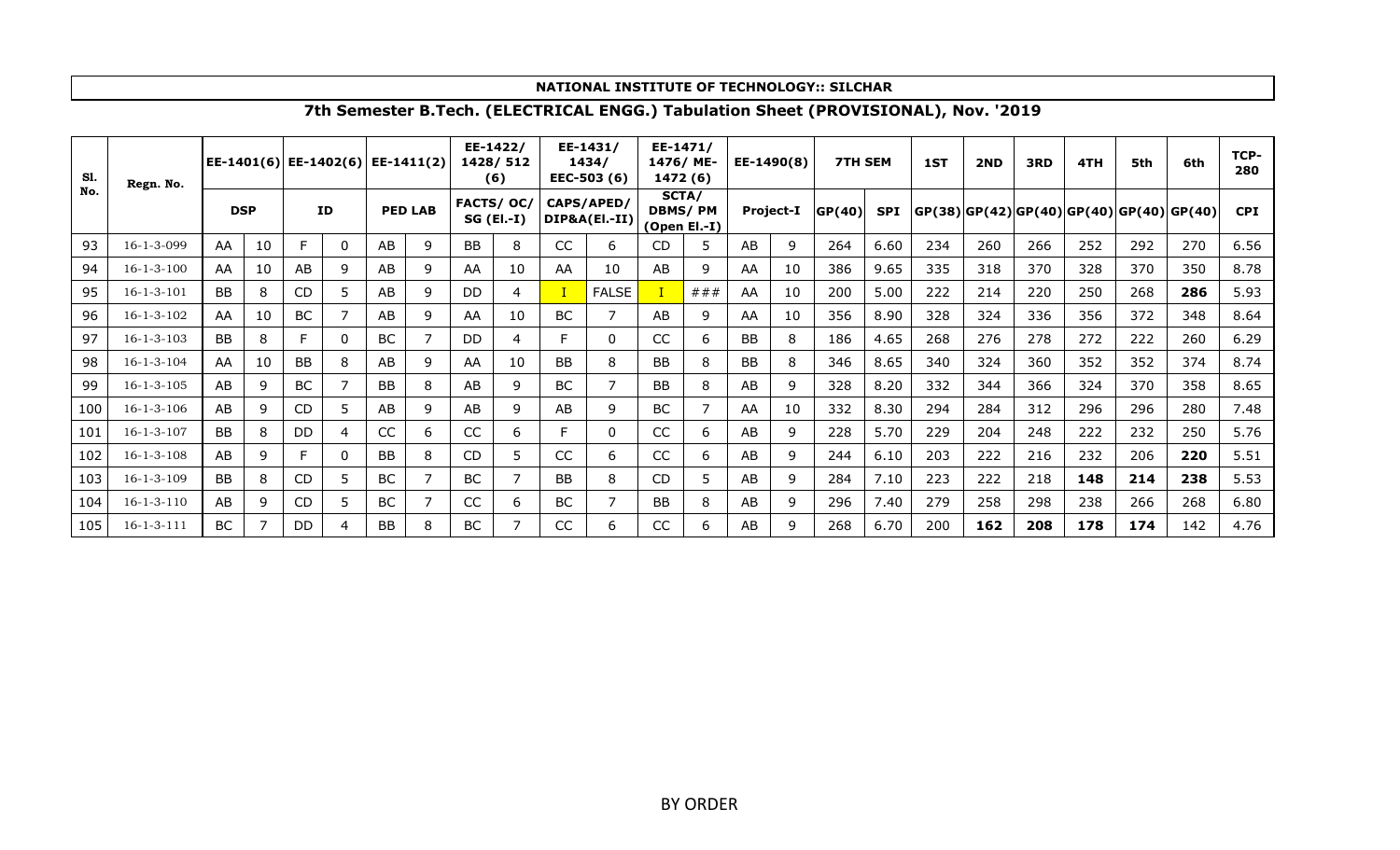| S1.<br>No. | Regn. No.          | EE-1401(6) EE-1402(6) EE-1411(2) |    |           |                |           |                |           | EE-1422/<br>1428/512<br>(6)      |           | EE-1431/<br>1434/<br>EEC-503 (6) | 1476/ME-  | EE-1471/<br>1472 (6)                    |           | EE-1490(8)       | <b>7TH SEM</b> |            | 1ST | 2ND | 3RD | 4TH                                                  | 5th | 6th | TCP-<br>280 |
|------------|--------------------|----------------------------------|----|-----------|----------------|-----------|----------------|-----------|----------------------------------|-----------|----------------------------------|-----------|-----------------------------------------|-----------|------------------|----------------|------------|-----|-----|-----|------------------------------------------------------|-----|-----|-------------|
|            |                    | <b>DSP</b>                       |    |           | <b>ID</b>      |           | <b>PED LAB</b> |           | <b>FACTS/OC/</b><br>$SG$ (El.-I) |           | CAPS/APED/<br>DIP&A(El.-II)      |           | SCTA/<br><b>DBMS/PM</b><br>(Open El.-I) |           | <b>Project-I</b> | GP(40)         | <b>SPI</b> |     |     |     | $ GP(38) GP(42) GP(40) GP(40) GP(40) GP(40) GP(40) $ |     |     | <b>CPI</b>  |
| 93         | 16-1-3-099         | AA                               | 10 |           | $\mathbf{0}$   | AB        | 9              | <b>BB</b> | 8                                | CC        | 6                                | <b>CD</b> | 5                                       | AB        | 9                | 264            | 6.60       | 234 | 260 | 266 | 252                                                  | 292 | 270 | 6.56        |
| 94         | $16 - 1 - 3 - 100$ | AA                               | 10 | AB        | 9              | AB        | 9              | AA        | 10                               | AA        | 10                               | AB        | 9                                       | AA        | 10               | 386            | 9.65       | 335 | 318 | 370 | 328                                                  | 370 | 350 | 8.78        |
| 95         | $16 - 1 - 3 - 101$ | <b>BB</b>                        | 8  | <b>CD</b> | 5.             | AB        | 9              | DD        | 4                                |           | <b>FALSE</b>                     |           | # ##                                    | AA        | 10               | 200            | 5.00       | 222 | 214 | 220 | 250                                                  | 268 | 286 | 5.93        |
| 96         | $16 - 1 - 3 - 102$ | AA                               | 10 | <b>BC</b> | $\overline{7}$ | AB        | 9              | AA        | 10                               | <b>BC</b> |                                  | AB        | 9                                       | AA        | 10               | 356            | 8.90       | 328 | 324 | 336 | 356                                                  | 372 | 348 | 8.64        |
| 97         | $16 - 1 - 3 - 103$ | <b>BB</b>                        | 8  |           | $\Omega$       | BC        | 7              | DD        | 4                                | F         | 0                                | CC        | 6                                       | <b>BB</b> | 8                | 186            | 4.65       | 268 | 276 | 278 | 272                                                  | 222 | 260 | 6.29        |
| 98         | $16 - 1 - 3 - 104$ | AA                               | 10 | <b>BB</b> | 8              | AB        | 9              | AA        | 10                               | <b>BB</b> | 8                                | <b>BB</b> | 8                                       | <b>BB</b> | 8                | 346            | 8.65       | 340 | 324 | 360 | 352                                                  | 352 | 374 | 8.74        |
| 99         | $16 - 1 - 3 - 105$ | AB                               | 9  | BC        |                | BB        | 8              | AB        | 9                                | BC        |                                  | <b>BB</b> | 8                                       | AB        | 9                | 328            | 8.20       | 332 | 344 | 366 | 324                                                  | 370 | 358 | 8.65        |
| 100        | $16 - 1 - 3 - 106$ | AB                               | 9  | <b>CD</b> | 5              | AB        | 9              | AB        | 9                                | AB        | 9                                | <b>BC</b> |                                         | AA        | 10               | 332            | 8.30       | 294 | 284 | 312 | 296                                                  | 296 | 280 | 7.48        |
| 101        | $16 - 1 - 3 - 107$ | <b>BB</b>                        | 8  | DD        | 4              | CC        | 6              | CC        | 6.                               |           | 0                                | CC        | 6                                       | AB        | 9                | 228            | 5.70       | 229 | 204 | 248 | 222                                                  | 232 | 250 | 5.76        |
| 102        | $16 - 1 - 3 - 108$ | AB                               | 9  |           | $\Omega$       | BB        | 8              | <b>CD</b> | 5.                               | CC        | 6                                | CC        | 6                                       | AB        | 9                | 244            | 6.10       | 203 | 222 | 216 | 232                                                  | 206 | 220 | 5.51        |
| 103        | $16 - 1 - 3 - 109$ | <b>BB</b>                        | 8  | <b>CD</b> | 5              | <b>BC</b> | 7              | <b>BC</b> |                                  | <b>BB</b> | 8                                | CD        | 5                                       | AB        | 9                | 284            | 7.10       | 223 | 222 | 218 | 148                                                  | 214 | 238 | 5.53        |
| 104        | $16 - 1 - 3 - 110$ | AB                               | 9  | <b>CD</b> | 5              | BC        | 7              | CC        | 6                                | <b>BC</b> |                                  | <b>BB</b> | 8                                       | AB        | 9                | 296            | 7.40       | 279 | 258 | 298 | 238                                                  | 266 | 268 | 6.80        |
| 105        | $16 - 1 - 3 - 111$ | <b>BC</b>                        |    | DD        | 4              | <b>BB</b> | 8              | BC        |                                  | <b>CC</b> | 6                                | CC        | 6                                       | AB        | 9                | 268            | 6.70       | 200 | 162 | 208 | 178                                                  | 174 | 142 | 4.76        |